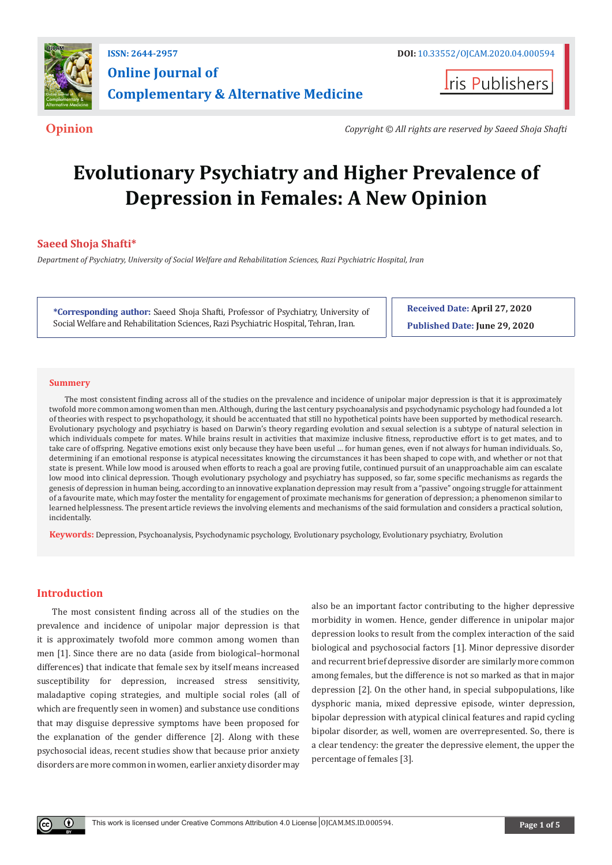

**Iris Publishers** 

**Opinion** *Copyright © All rights are reserved by Saeed Shoja Shafti*

# **Evolutionary Psychiatry and Higher Prevalence of Depression in Females: A New Opinion**

## **Saeed Shoja Shafti\***

*Department of Psychiatry, University of Social Welfare and Rehabilitation Sciences, Razi Psychiatric Hospital, Iran*

**\*Corresponding author:** Saeed Shoja Shafti, Professor of Psychiatry, University of Social Welfare and Rehabilitation Sciences, Razi Psychiatric Hospital, Tehran, Iran.

**Received Date: April 27, 2020 Published Date: June 29, 2020**

#### **Summery**

The most consistent finding across all of the studies on the prevalence and incidence of unipolar major depression is that it is approximately twofold more common among women than men. Although, during the last century psychoanalysis and psychodynamic psychology had founded a lot of theories with respect to psychopathology, it should be accentuated that still no hypothetical points have been supported by methodical research. Evolutionary psychology and psychiatry is based on Darwin's theory regarding evolution and sexual selection is a subtype of natural selection in which individuals compete for mates. While brains result in activities that maximize inclusive fitness, reproductive effort is to get mates, and to take care of offspring. Negative emotions exist only because they have been useful … for human genes, even if not always for human individuals. So, determining if an emotional response is atypical necessitates knowing the circumstances it has been shaped to cope with, and whether or not that state is present. While low mood is aroused when efforts to reach a goal are proving futile, continued pursuit of an unapproachable aim can escalate low mood into clinical depression. Though evolutionary psychology and psychiatry has supposed, so far, some specific mechanisms as regards the genesis of depression in human being, according to an innovative explanation depression may result from a "passive" ongoing struggle for attainment of a favourite mate, which may foster the mentality for engagement of proximate mechanisms for generation of depression; a phenomenon similar to learned helplessness. The present article reviews the involving elements and mechanisms of the said formulation and considers a practical solution, incidentally.

**Keywords:** Depression, Psychoanalysis, Psychodynamic psychology, Evolutionary psychology, Evolutionary psychiatry, Evolution

### **Introduction**

The most consistent finding across all of the studies on the prevalence and incidence of unipolar major depression is that it is approximately twofold more common among women than men [1]. Since there are no data (aside from biological–hormonal differences) that indicate that female sex by itself means increased susceptibility for depression, increased stress sensitivity, maladaptive coping strategies, and multiple social roles (all of which are frequently seen in women) and substance use conditions that may disguise depressive symptoms have been proposed for the explanation of the gender difference [2]. Along with these psychosocial ideas, recent studies show that because prior anxiety disorders are more common in women, earlier anxiety disorder may

also be an important factor contributing to the higher depressive morbidity in women. Hence, gender difference in unipolar major depression looks to result from the complex interaction of the said biological and psychosocial factors [1]. Minor depressive disorder and recurrent brief depressive disorder are similarly more common among females, but the difference is not so marked as that in major depression [2]. On the other hand, in special subpopulations, like dysphoric mania, mixed depressive episode, winter depression, bipolar depression with atypical clinical features and rapid cycling bipolar disorder, as well, women are overrepresented. So, there is a clear tendency: the greater the depressive element, the upper the percentage of females [3].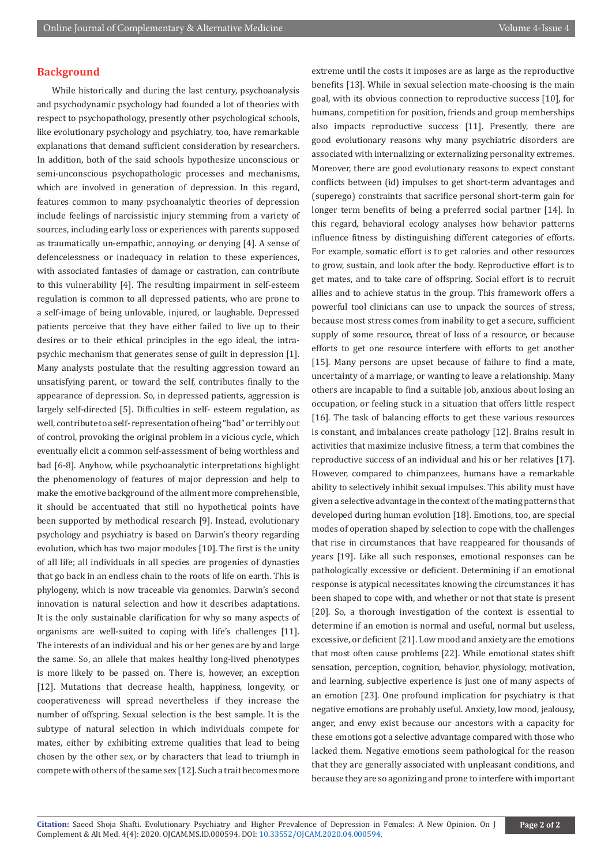## **Background**

While historically and during the last century, psychoanalysis and psychodynamic psychology had founded a lot of theories with respect to psychopathology, presently other psychological schools, like evolutionary psychology and psychiatry, too, have remarkable explanations that demand sufficient consideration by researchers. In addition, both of the said schools hypothesize unconscious or semi-unconscious psychopathologic processes and mechanisms, which are involved in generation of depression. In this regard, features common to many psychoanalytic theories of depression include feelings of narcissistic injury stemming from a variety of sources, including early loss or experiences with parents supposed as traumatically un-empathic, annoying, or denying [4]. A sense of defencelessness or inadequacy in relation to these experiences, with associated fantasies of damage or castration, can contribute to this vulnerability [4]. The resulting impairment in self-esteem regulation is common to all depressed patients, who are prone to a self-image of being unlovable, injured, or laughable. Depressed patients perceive that they have either failed to live up to their desires or to their ethical principles in the ego ideal, the intrapsychic mechanism that generates sense of guilt in depression [1]. Many analysts postulate that the resulting aggression toward an unsatisfying parent, or toward the self, contributes finally to the appearance of depression. So, in depressed patients, aggression is largely self-directed [5]. Difficulties in self- esteem regulation, as well, contribute to a self- representation of being "bad" or terribly out of control, provoking the original problem in a vicious cycle, which eventually elicit a common self-assessment of being worthless and bad [6-8]. Anyhow, while psychoanalytic interpretations highlight the phenomenology of features of major depression and help to make the emotive background of the ailment more comprehensible, it should be accentuated that still no hypothetical points have been supported by methodical research [9]. Instead, evolutionary psychology and psychiatry is based on Darwin's theory regarding evolution, which has two major modules [10]. The first is the unity of all life; all individuals in all species are progenies of dynasties that go back in an endless chain to the roots of life on earth. This is phylogeny, which is now traceable via genomics. Darwin's second innovation is natural selection and how it describes adaptations. It is the only sustainable clarification for why so many aspects of organisms are well-suited to coping with life's challenges [11]. The interests of an individual and his or her genes are by and large the same. So, an allele that makes healthy long-lived phenotypes is more likely to be passed on. There is, however, an exception [12]. Mutations that decrease health, happiness, longevity, or cooperativeness will spread nevertheless if they increase the number of offspring. Sexual selection is the best sample. It is the subtype of natural selection in which individuals compete for mates, either by exhibiting extreme qualities that lead to being chosen by the other sex, or by characters that lead to triumph in compete with others of the same sex [12]. Such a trait becomes more

extreme until the costs it imposes are as large as the reproductive benefits [13]. While in sexual selection mate-choosing is the main goal, with its obvious connection to reproductive success [10], for humans, competition for position, friends and group memberships also impacts reproductive success [11]. Presently, there are good evolutionary reasons why many psychiatric disorders are associated with internalizing or externalizing personality extremes. Moreover, there are good evolutionary reasons to expect constant conflicts between (id) impulses to get short-term advantages and (superego) constraints that sacrifice personal short-term gain for longer term benefits of being a preferred social partner [14]. In this regard, behavioral ecology analyses how behavior patterns influence fitness by distinguishing different categories of efforts. For example, somatic effort is to get calories and other resources to grow, sustain, and look after the body. Reproductive effort is to get mates, and to take care of offspring. Social effort is to recruit allies and to achieve status in the group. This framework offers a powerful tool clinicians can use to unpack the sources of stress, because most stress comes from inability to get a secure, sufficient supply of some resource, threat of loss of a resource, or because efforts to get one resource interfere with efforts to get another [15]. Many persons are upset because of failure to find a mate, uncertainty of a marriage, or wanting to leave a relationship. Many others are incapable to find a suitable job, anxious about losing an occupation, or feeling stuck in a situation that offers little respect [16]. The task of balancing efforts to get these various resources is constant, and imbalances create pathology [12]. Brains result in activities that maximize inclusive fitness, a term that combines the reproductive success of an individual and his or her relatives [17]. However, compared to chimpanzees, humans have a remarkable ability to selectively inhibit sexual impulses. This ability must have given a selective advantage in the context of the mating patterns that developed during human evolution [18]. Emotions, too, are special modes of operation shaped by selection to cope with the challenges that rise in circumstances that have reappeared for thousands of years [19]. Like all such responses, emotional responses can be pathologically excessive or deficient. Determining if an emotional response is atypical necessitates knowing the circumstances it has been shaped to cope with, and whether or not that state is present [20]. So, a thorough investigation of the context is essential to determine if an emotion is normal and useful, normal but useless, excessive, or deficient [21]. Low mood and anxiety are the emotions that most often cause problems [22]. While emotional states shift sensation, perception, cognition, behavior, physiology, motivation, and learning, subjective experience is just one of many aspects of an emotion [23]. One profound implication for psychiatry is that negative emotions are probably useful. Anxiety, low mood, jealousy, anger, and envy exist because our ancestors with a capacity for these emotions got a selective advantage compared with those who lacked them. Negative emotions seem pathological for the reason that they are generally associated with unpleasant conditions, and because they are so agonizing and prone to interfere with important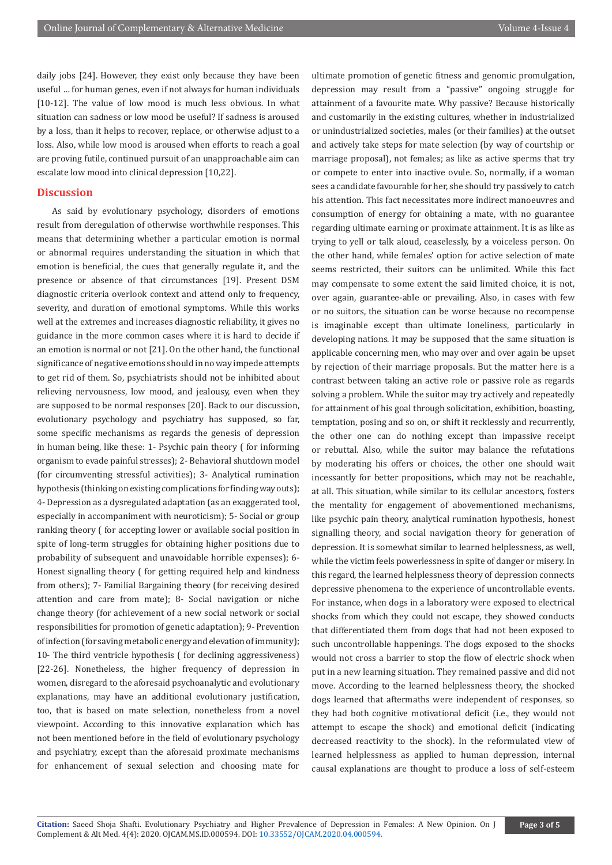daily jobs [24]. However, they exist only because they have been useful … for human genes, even if not always for human individuals [10-12]. The value of low mood is much less obvious. In what situation can sadness or low mood be useful? If sadness is aroused by a loss, than it helps to recover, replace, or otherwise adjust to a loss. Also, while low mood is aroused when efforts to reach a goal are proving futile, continued pursuit of an unapproachable aim can escalate low mood into clinical depression [10,22].

#### **Discussion**

As said by evolutionary psychology, disorders of emotions result from deregulation of otherwise worthwhile responses. This means that determining whether a particular emotion is normal or abnormal requires understanding the situation in which that emotion is beneficial, the cues that generally regulate it, and the presence or absence of that circumstances [19]. Present DSM diagnostic criteria overlook context and attend only to frequency, severity, and duration of emotional symptoms. While this works well at the extremes and increases diagnostic reliability, it gives no guidance in the more common cases where it is hard to decide if an emotion is normal or not [21]. On the other hand, the functional significance of negative emotions should in no way impede attempts to get rid of them. So, psychiatrists should not be inhibited about relieving nervousness, low mood, and jealousy, even when they are supposed to be normal responses [20]. Back to our discussion, evolutionary psychology and psychiatry has supposed, so far, some specific mechanisms as regards the genesis of depression in human being, like these: 1- Psychic pain theory ( for informing organism to evade painful stresses); 2- Behavioral shutdown model (for circumventing stressful activities); 3- Analytical rumination hypothesis (thinking on existing complications for finding way outs); 4- Depression as a dysregulated adaptation (as an exaggerated tool, especially in accompaniment with neuroticism); 5- Social or group ranking theory ( for accepting lower or available social position in spite of long-term struggles for obtaining higher positions due to probability of subsequent and unavoidable horrible expenses); 6- Honest signalling theory ( for getting required help and kindness from others); 7- Familial Bargaining theory (for receiving desired attention and care from mate); 8- Social navigation or niche change theory (for achievement of a new social network or social responsibilities for promotion of genetic adaptation); 9- Prevention of infection (for saving metabolic energy and elevation of immunity); 10- The third ventricle hypothesis ( for declining aggressiveness) [22-26]. Nonetheless, the higher frequency of depression in women, disregard to the aforesaid psychoanalytic and evolutionary explanations, may have an additional evolutionary justification, too, that is based on mate selection, nonetheless from a novel viewpoint. According to this innovative explanation which has not been mentioned before in the field of evolutionary psychology and psychiatry, except than the aforesaid proximate mechanisms for enhancement of sexual selection and choosing mate for ultimate promotion of genetic fitness and genomic promulgation, depression may result from a "passive" ongoing struggle for attainment of a favourite mate. Why passive? Because historically and customarily in the existing cultures, whether in industrialized or unindustrialized societies, males (or their families) at the outset and actively take steps for mate selection (by way of courtship or marriage proposal), not females; as like as active sperms that try or compete to enter into inactive ovule. So, normally, if a woman sees a candidate favourable for her, she should try passively to catch his attention. This fact necessitates more indirect manoeuvres and consumption of energy for obtaining a mate, with no guarantee regarding ultimate earning or proximate attainment. It is as like as trying to yell or talk aloud, ceaselessly, by a voiceless person. On the other hand, while females' option for active selection of mate seems restricted, their suitors can be unlimited. While this fact may compensate to some extent the said limited choice, it is not, over again, guarantee-able or prevailing. Also, in cases with few or no suitors, the situation can be worse because no recompense is imaginable except than ultimate loneliness, particularly in developing nations. It may be supposed that the same situation is applicable concerning men, who may over and over again be upset by rejection of their marriage proposals. But the matter here is a contrast between taking an active role or passive role as regards solving a problem. While the suitor may try actively and repeatedly for attainment of his goal through solicitation, exhibition, boasting, temptation, posing and so on, or shift it recklessly and recurrently, the other one can do nothing except than impassive receipt or rebuttal. Also, while the suitor may balance the refutations by moderating his offers or choices, the other one should wait incessantly for better propositions, which may not be reachable, at all. This situation, while similar to its cellular ancestors, fosters the mentality for engagement of abovementioned mechanisms, like psychic pain theory, analytical rumination hypothesis, honest signalling theory, and social navigation theory for generation of depression. It is somewhat similar to learned helplessness, as well, while the victim feels powerlessness in spite of danger or misery. In this regard, the learned helplessness theory of depression connects depressive phenomena to the experience of uncontrollable events. For instance, when dogs in a laboratory were exposed to electrical shocks from which they could not escape, they showed conducts that differentiated them from dogs that had not been exposed to such uncontrollable happenings. The dogs exposed to the shocks would not cross a barrier to stop the flow of electric shock when put in a new learning situation. They remained passive and did not move. According to the learned helplessness theory, the shocked dogs learned that aftermaths were independent of responses, so they had both cognitive motivational deficit (i.e., they would not attempt to escape the shock) and emotional deficit (indicating decreased reactivity to the shock). In the reformulated view of learned helplessness as applied to human depression, internal causal explanations are thought to produce a loss of self-esteem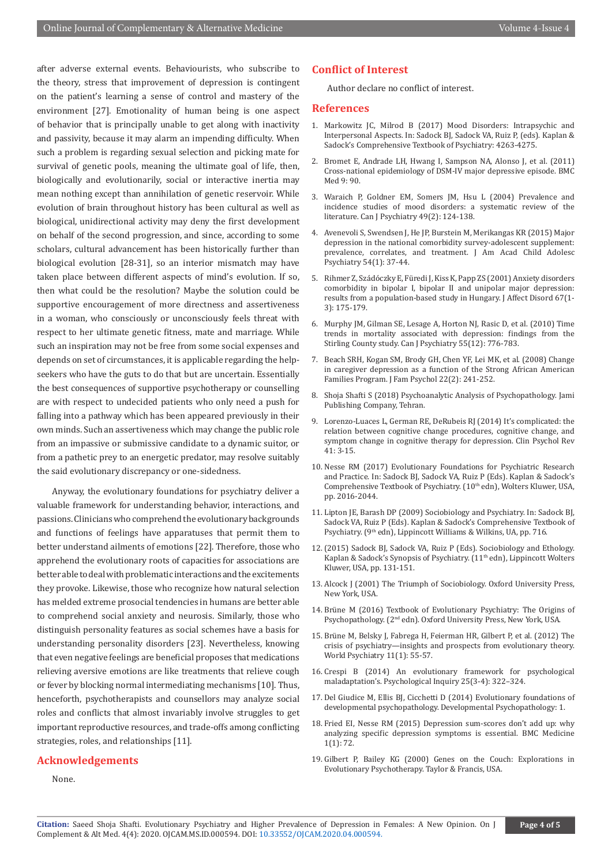after adverse external events. Behaviourists, who subscribe to the theory, stress that improvement of depression is contingent on the patient's learning a sense of control and mastery of the environment [27]. Emotionality of human being is one aspect of behavior that is principally unable to get along with inactivity and passivity, because it may alarm an impending difficulty. When such a problem is regarding sexual selection and picking mate for survival of genetic pools, meaning the ultimate goal of life, then, biologically and evolutionarily, social or interactive inertia may mean nothing except than annihilation of genetic reservoir. While evolution of brain throughout history has been cultural as well as biological, unidirectional activity may deny the first development on behalf of the second progression, and since, according to some scholars, cultural advancement has been historically further than biological evolution [28-31], so an interior mismatch may have taken place between different aspects of mind's evolution. If so, then what could be the resolution? Maybe the solution could be supportive encouragement of more directness and assertiveness in a woman, who consciously or unconsciously feels threat with respect to her ultimate genetic fitness, mate and marriage. While such an inspiration may not be free from some social expenses and depends on set of circumstances, it is applicable regarding the helpseekers who have the guts to do that but are uncertain. Essentially the best consequences of supportive psychotherapy or counselling are with respect to undecided patients who only need a push for falling into a pathway which has been appeared previously in their own minds. Such an assertiveness which may change the public role from an impassive or submissive candidate to a dynamic suitor, or from a pathetic prey to an energetic predator, may resolve suitably the said evolutionary discrepancy or one-sidedness.

Anyway, the evolutionary foundations for psychiatry deliver a valuable framework for understanding behavior, interactions, and passions. Clinicians who comprehend the evolutionary backgrounds and functions of feelings have apparatuses that permit them to better understand ailments of emotions [22]. Therefore, those who apprehend the evolutionary roots of capacities for associations are better able to deal with problematic interactions and the excitements they provoke. Likewise, those who recognize how natural selection has melded extreme prosocial tendencies in humans are better able to comprehend social anxiety and neurosis. Similarly, those who distinguish personality features as social schemes have a basis for understanding personality disorders [23]. Nevertheless, knowing that even negative feelings are beneficial proposes that medications relieving aversive emotions are like treatments that relieve cough or fever by blocking normal intermediating mechanisms [10]. Thus, henceforth, psychotherapists and counsellors may analyze social roles and conflicts that almost invariably involve struggles to get important reproductive resources, and trade-offs among conflicting strategies, roles, and relationships [11].

## **Acknowledgements**

None.

### **Conflict of Interest**

Author declare no conflict of interest.

#### **References**

- 1. Markowitz JC, Milrod B (2017) Mood Disorders: Intrapsychic and Interpersonal Aspects. In: Sadock BJ, Sadock VA, Ruiz P, (eds). Kaplan & Sadock's Comprehensive Textbook of Psychiatry: 4263-4275.
- 2. [Bromet E, Andrade LH, Hwang I, Sampson NA, Alonso J, et al. \(2011\)](https://pubmed.ncbi.nlm.nih.gov/21791035/) [Cross-national epidemiology of DSM-IV major depressive episode. BMC](https://pubmed.ncbi.nlm.nih.gov/21791035/) [Med 9: 90.](https://pubmed.ncbi.nlm.nih.gov/21791035/)
- 3. [Waraich P, Goldner EM, Somers JM, Hsu L \(2004\) Prevalence and](https://pubmed.ncbi.nlm.nih.gov/15065747/) [incidence studies of mood disorders: a systematic review of the](https://pubmed.ncbi.nlm.nih.gov/15065747/) [literature. Can J Psychiatry 49\(2\): 124-138.](https://pubmed.ncbi.nlm.nih.gov/15065747/)
- 4. [Avenevoli S, Swendsen J, He JP, Burstein M, Merikangas KR \(2015\) Major](https://pubmed.ncbi.nlm.nih.gov/25524788/) [depression in the national comorbidity survey-adolescent supplement:](https://pubmed.ncbi.nlm.nih.gov/25524788/) [prevalence, correlates, and treatment. J Am Acad Child Adolesc](https://pubmed.ncbi.nlm.nih.gov/25524788/) [Psychiatry 54\(1\): 37-44.](https://pubmed.ncbi.nlm.nih.gov/25524788/)
- 5. [Rihmer Z, Szádóczky E, Füredi J, Kiss K, Papp ZS \(2001\) Anxiety disorders](https://www.sciencedirect.com/science/article/abs/pii/S0165032701003093) [comorbidity in bipolar I, bipolar II and unipolar major depression:](https://www.sciencedirect.com/science/article/abs/pii/S0165032701003093) [results from a population-based study in Hungary. J Affect Disord 67\(1-](https://www.sciencedirect.com/science/article/abs/pii/S0165032701003093) [3\): 175-179.](https://www.sciencedirect.com/science/article/abs/pii/S0165032701003093)
- 6. [Murphy JM, Gilman SE, Lesage A, Horton NJ, Rasic D, et al. \(2010\) Time](https://pubmed.ncbi.nlm.nih.gov/21172098/) [trends in mortality associated with depression: findings from the](https://pubmed.ncbi.nlm.nih.gov/21172098/) [Stirling County study. Can J Psychiatry 55\(12\): 776-783.](https://pubmed.ncbi.nlm.nih.gov/21172098/)
- 7. [Beach SRH, Kogan SM, Brody GH, Chen YF, Lei MK, et al. \(2008\) Change](https://pubmed.ncbi.nlm.nih.gov/18410211/) [in caregiver depression as a function of the Strong African American](https://pubmed.ncbi.nlm.nih.gov/18410211/) [Families Program. J Fam Psychol 22\(2\): 241-252.](https://pubmed.ncbi.nlm.nih.gov/18410211/)
- 8. Shoja Shafti S (2018) Psychoanalytic Analysis of Psychopathology. Jami Publishing Company, Tehran.
- 9. [Lorenzo-Luaces L, German RE, DeRubeis RJ \(2014\) It's complicated: the](https://pubmed.ncbi.nlm.nih.gov/25595660/) [relation between cognitive change procedures, cognitive change, and](https://pubmed.ncbi.nlm.nih.gov/25595660/) [symptom change in cognitive therapy for depression. Clin Psychol Rev](https://pubmed.ncbi.nlm.nih.gov/25595660/)  $41.3 - 15$
- 10. Nesse RM (2017) Evolutionary Foundations for Psychiatric Research and Practice. In: Sadock BJ, Sadock VA, Ruiz P (Eds). Kaplan & Sadock's Comprehensive Textbook of Psychiatry. (10<sup>th</sup> edn), Wolters Kluwer, USA, pp. 2016-2044.
- 11. Lipton JE, Barash DP (2009) Sociobiology and Psychiatry. In: Sadock BJ, Sadock VA, Ruiz P (Eds). Kaplan & Sadock's Comprehensive Textbook of Psychiatry. (9th edn), Lippincott Williams & Wilkins, UA, pp. 716.
- 12.(2015) Sadock BJ, Sadock VA, Ruiz P (Eds). Sociobiology and Ethology. Kaplan & Sadock's Synopsis of Psychiatry. (11<sup>th</sup> edn), Lippincott Wolters Kluwer, USA, pp. 131-151.
- 13. Alcock J (2001) The Triumph of Sociobiology. Oxford University Press, New York, USA.
- 14. Brüne M (2016) Textbook of Evolutionary Psychiatry: The Origins of Psychopathology. (2nd edn). Oxford University Press, New York, USA.
- 15. [Brüne M, Belsky J, Fabrega H, Feierman HR, Gilbert P, et al. \(2012\) The](https://pubmed.ncbi.nlm.nih.gov/22295011/) [crisis of psychiatry—insights and prospects from evolutionary theory.](https://pubmed.ncbi.nlm.nih.gov/22295011/) [World Psychiatry 11\(1\): 55-57.](https://pubmed.ncbi.nlm.nih.gov/22295011/)
- 16. Crespi B (2014) An evolutionary framework for psychological maladaptation's. Psychological Inquiry 25(3-4): 322–324.
- 17. Del Giudice M, Ellis BJ, Cicchetti D (2014) Evolutionary foundations of developmental psychopathology. Developmental Psychopathology: 1.
- 18. Fried EI, Nesse RM (2015) Depression sum-scores don't add up: why analyzing specific depression symptoms is essential. BMC Medicine 1(1): 72.
- 19. Gilbert P, Bailey KG (2000) Genes on the Couch: Explorations in Evolutionary Psychotherapy. Taylor & Francis, USA.